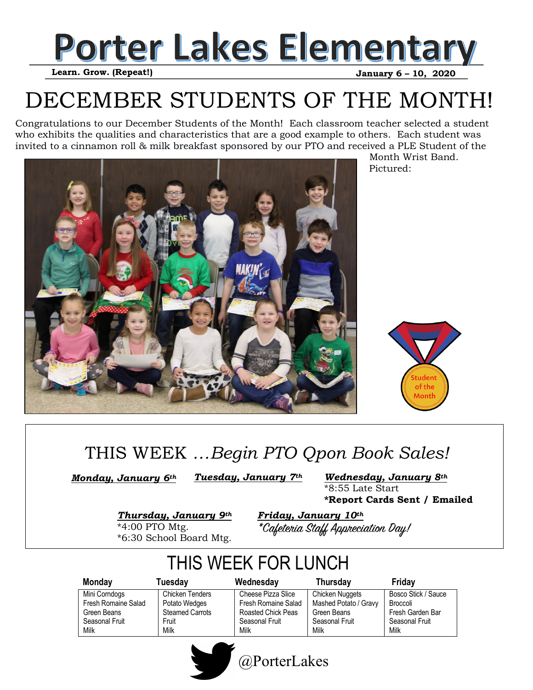

## DECEMBER STUDENTS OF THE MONTH!

Congratulations to our December Students of the Month! Each classroom teacher selected a student who exhibits the qualities and characteristics that are a good example to others. Each student was invited to a cinnamon roll & milk breakfast sponsored by our PTO and received a PLE Student of the



 Month Wrist Band. Pictured:



#### THIS WEEK *…Begin PTO Qpon Book Sales!*

*Monday, January 6th* 

*Tuesday, January 7th* 

*Wednesday, January 8th*  \*8:55 Late Start

**\*Report Cards Sent / Emailed**

*Thursday, January 9th* 

\*4:00 PTO Mtg. \*6:30 School Board Mtg. *Friday, January 10th*  \*Cafeteria Staff Appreciation Day!

### THIS WEEK FOR LUNCH

| Monday              | Tuesday                | Wednesday           | Thursday              | Friday              |
|---------------------|------------------------|---------------------|-----------------------|---------------------|
| Mini Corndogs       | <b>Chicken Tenders</b> | Cheese Pizza Slice  | Chicken Nuggets       | Bosco Stick / Sauce |
| Fresh Romaine Salad | Potato Wedges          | Fresh Romaine Salad | Mashed Potato / Gravy | Broccoli            |
| Green Beans         | <b>Steamed Carrots</b> | Roasted Chick Peas  | Green Beans           | Fresh Garden Bar    |
| Seasonal Fruit      | Fruit                  | Seasonal Fruit      | Seasonal Fruit        | Seasonal Fruit      |
| Milk                | Milk                   | Milk                | Milk                  | Milk                |



@PorterLakes